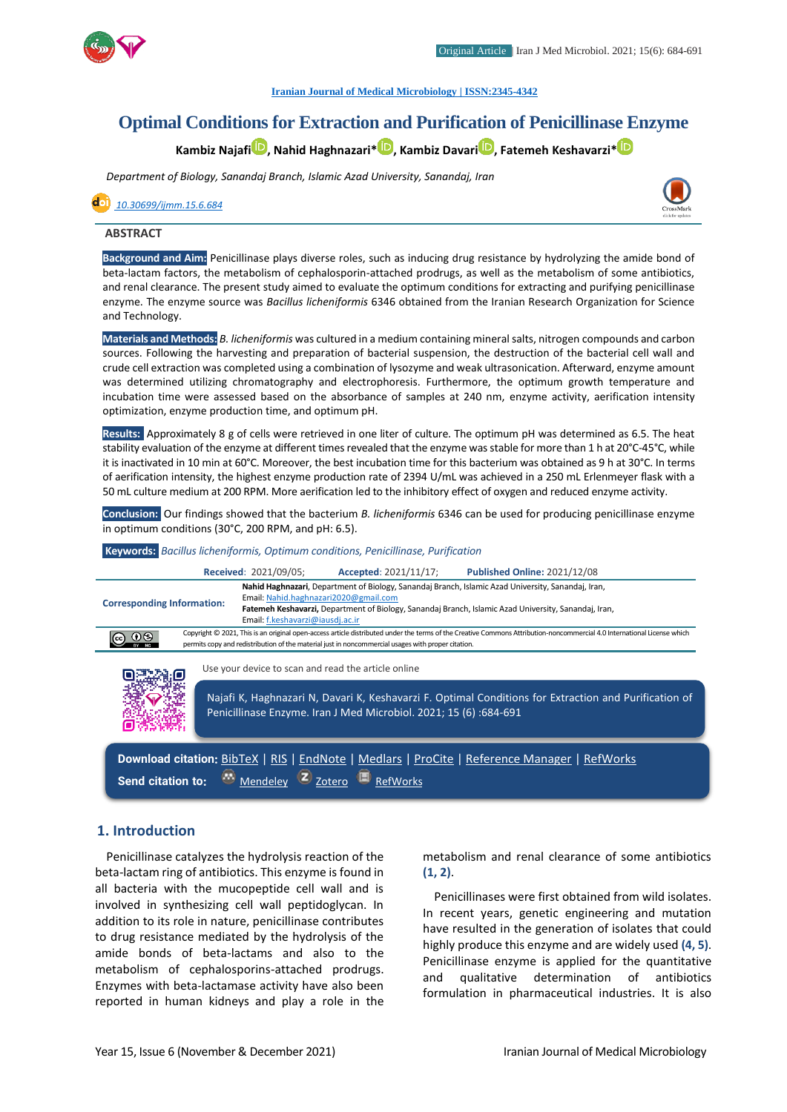

#### **[Iranian Journal of Medical Microbiology |](https://ijmm.ir/) ISSN:2345-4342**

# **Optimal Conditions for Extraction and Purification of Penicillinase Enzyme**

**Kambiz Najaf[i](http://orcid.org/0000000198373304) , Nahid Haghnazari\* [,](http://orcid.org/%C2%A00000000247175153) Kambiz Davari [,](http://orcid.org/0000000291157489) Fatemeh Keshavarzi[\\*](http://orcid.org/000000021131107X)**

*Department of Biology, Sanandaj Branch, Islamic Azad University, Sanandaj, Iran*

 *[10.30699/ijmm.15.6.684](http://dx.doi.org/10.30699/ijmm.15.6.684)*



#### **ABSTRACT**

**Background and Aim:** Penicillinase plays diverse roles, such as inducing drug resistance by hydrolyzing the amide bond of beta-lactam factors, the metabolism of cephalosporin-attached prodrugs, as well as the metabolism of some antibiotics, and renal clearance. The present study aimed to evaluate the optimum conditions for extracting and purifying penicillinase enzyme. The enzyme source was *Bacillus licheniformis* 6346 obtained from the Iranian Research Organization for Science and Technology.

**Materials and Methods:** *B. licheniformis* was cultured in a medium containing mineral salts, nitrogen compounds and carbon sources. Following the harvesting and preparation of bacterial suspension, the destruction of the bacterial cell wall and crude cell extraction was completed using a combination of lysozyme and weak ultrasonication. Afterward, enzyme amount was determined utilizing chromatography and electrophoresis. Furthermore, the optimum growth temperature and incubation time were assessed based on the absorbance of samples at 240 nm, enzyme activity, aerification intensity optimization, enzyme production time, and optimum pH.

**Results:** Approximately 8 g of cells were retrieved in one liter of culture. The optimum pH was determined as 6.5. The heat stability evaluation of the enzyme at different times revealed that the enzyme was stable for more than 1 h at 20°C-45°C, while it is inactivated in 10 min at 60°C. Moreover, the best incubation time for this bacterium was obtained as 9 h at 30°C. In terms of aerification intensity, the highest enzyme production rate of 2394 U/mL was achieved in a 250 mL Erlenmeyer flask with a 50 mL culture medium at 200 RPM. More aerification led to the inhibitory effect of oxygen and reduced enzyme activity.

**Conclusion:** Our findings showed that the bacterium *B. licheniformis* 6346 can be used for producing penicillinase enzyme in optimum conditions (30°C, 200 RPM, and pH: 6.5).

**Keywords:** *Bacillus licheniformis, Optimum conditions, Penicillinase, Purification*



### **1. Introduction**

Penicillinase catalyzes the hydrolysis reaction of the beta-lactam ring of antibiotics. This enzyme is found in all bacteria with the mucopeptide cell wall and is involved in synthesizing cell wall peptidoglycan. In addition to its role in nature, penicillinase contributes to drug resistance mediated by the hydrolysis of the amide bonds of beta-lactams and also to the metabolism of cephalosporins-attached prodrugs. Enzymes with beta-lactamase activity have also been reported in human kidneys and play a role in the

metabolism and renal clearance of some antibiotics **(1, 2)**.

Penicillinases were first obtained from wild isolates. In recent years, genetic engineering and mutation have resulted in the generation of isolates that could highly produce this enzyme and are widely used **(4, 5)**. Penicillinase enzyme is applied for the quantitative and qualitative determination of antibiotics formulation in pharmaceutical industries. It is also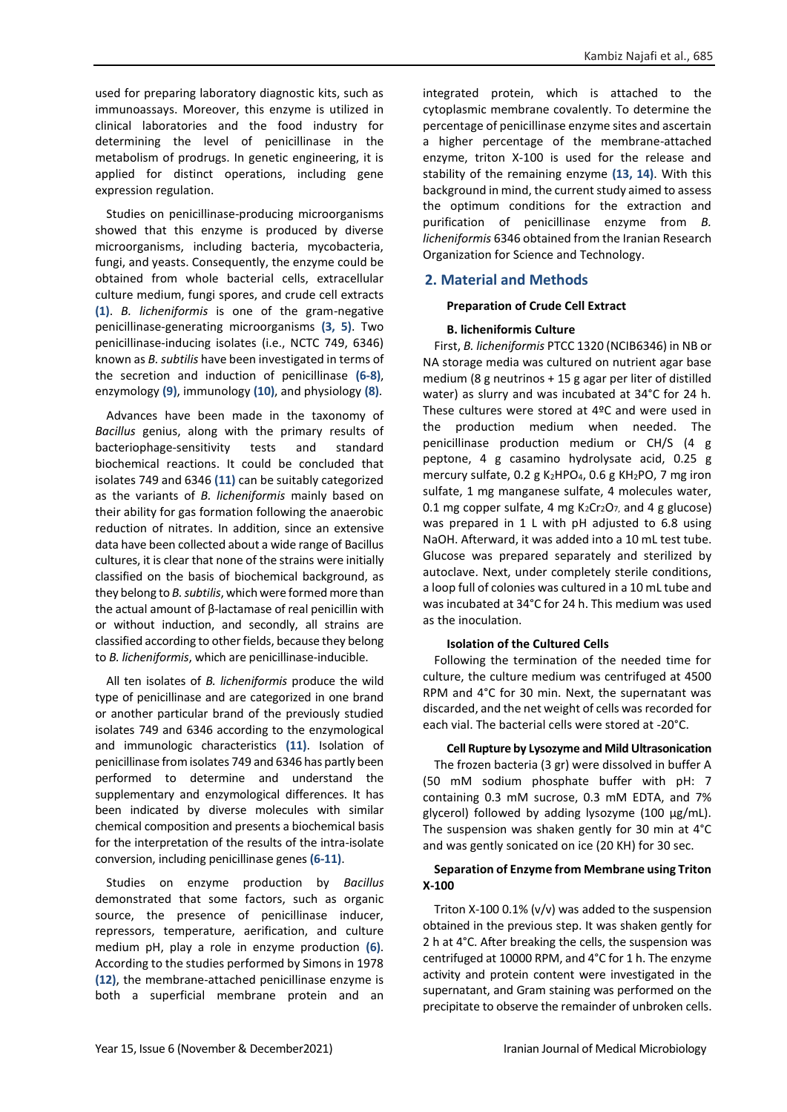used for preparing laboratory diagnostic kits, such as immunoassays. Moreover, this enzyme is utilized in clinical laboratories and the food industry for determining the level of penicillinase in the metabolism of prodrugs. In genetic engineering, it is applied for distinct operations, including gene expression regulation.

Studies on penicillinase-producing microorganisms showed that this enzyme is produced by diverse microorganisms, including bacteria, mycobacteria, fungi, and yeasts. Consequently, the enzyme could be obtained from whole bacterial cells, extracellular culture medium, fungi spores, and crude cell extracts **(1)**. *B. licheniformis* is one of the gram-negative penicillinase-generating microorganisms **(3, 5)**. Two penicillinase-inducing isolates (i.e., NCTC 749, 6346) known as *B. subtilis* have been investigated in terms of the secretion and induction of penicillinase **(6-8)**, enzymology **(9)**, immunology **(10)**, and physiology **(8)**.

Advances have been made in the taxonomy of *Bacillus* genius, along with the primary results of bacteriophage-sensitivity tests and standard biochemical reactions. It could be concluded that isolates 749 and 6346 **(11)** can be suitably categorized as the variants of *B. licheniformis* mainly based on their ability for gas formation following the anaerobic reduction of nitrates. In addition, since an extensive data have been collected about a wide range of Bacillus cultures, it is clear that none of the strains were initially classified on the basis of biochemical background, as they belong to *B. subtilis*, which were formed more than the actual amount of β-lactamase of real penicillin with or without induction, and secondly, all strains are classified according to other fields, because they belong to *B. licheniformis*, which are penicillinase-inducible.

All ten isolates of *B. licheniformis* produce the wild type of penicillinase and are categorized in one brand or another particular brand of the previously studied isolates 749 and 6346 according to the enzymological and immunologic characteristics **(11)**. Isolation of penicillinase from isolates 749 and 6346 has partly been performed to determine and understand the supplementary and enzymological differences. It has been indicated by diverse molecules with similar chemical composition and presents a biochemical basis for the interpretation of the results of the intra-isolate conversion, including penicillinase genes **(6-11)**.

Studies on enzyme production by *Bacillus* demonstrated that some factors, such as organic source, the presence of penicillinase inducer, repressors, temperature, aerification, and culture medium pH, play a role in enzyme production **(6)**. According to the studies performed by Simons in 1978 **(12)**, the membrane-attached penicillinase enzyme is both a superficial membrane protein and an

integrated protein, which is attached to the cytoplasmic membrane covalently. To determine the percentage of penicillinase enzyme sites and ascertain a higher percentage of the membrane-attached enzyme, triton X-100 is used for the release and stability of the remaining enzyme **(13, 14)**. With this background in mind, the current study aimed to assess the optimum conditions for the extraction and purification of penicillinase enzyme from *B. licheniformis* 6346 obtained from the Iranian Research Organization for Science and Technology.

## **2. Material and Methods**

### **Preparation of Crude Cell Extract**

### **B. licheniformis Culture**

First, *B. licheniformis* PTCC 1320 (NCIB6346) in NB or NA storage media was cultured on nutrient agar base medium (8 g neutrinos + 15 g agar per liter of distilled water) as slurry and was incubated at 34°C for 24 h. These cultures were stored at 4ºC and were used in the production medium when needed. The penicillinase production medium or CH/S (4 g peptone, 4 g casamino hydrolysate acid, 0.25 g mercury sulfate, 0.2 g K2HPO<sub>4</sub>, 0.6 g KH2PO, 7 mg iron sulfate, 1 mg manganese sulfate, 4 molecules water, 0.1 mg copper sulfate, 4 mg  $K_2Cr_2O_7$ , and 4 g glucose) was prepared in 1 L with pH adjusted to 6.8 using NaOH. Afterward, it was added into a 10 mL test tube. Glucose was prepared separately and sterilized by autoclave. Next, under completely sterile conditions, a loop full of colonies was cultured in a 10 mL tube and was incubated at 34°C for 24 h. This medium was used as the inoculation.

#### **Isolation of the Cultured Cells**

Following the termination of the needed time for culture, the culture medium was centrifuged at 4500 RPM and 4°C for 30 min. Next, the supernatant was discarded, and the net weight of cells was recorded for each vial. The bacterial cells were stored at -20°C.

### **Cell Rupture by Lysozyme and Mild Ultrasonication**

The frozen bacteria (3 gr) were dissolved in buffer A (50 mM sodium phosphate buffer with pH: 7 containing 0.3 mM sucrose, 0.3 mM EDTA, and 7% glycerol) followed by adding lysozyme (100 μg/mL). The suspension was shaken gently for 30 min at 4°C and was gently sonicated on ice (20 KH) for 30 sec.

### **Separation of Enzyme from Membrane using Triton X-100**

Triton X-100 0.1% (v/v) was added to the suspension obtained in the previous step. It was shaken gently for 2 h at 4°C. After breaking the cells, the suspension was centrifuged at 10000 RPM, and 4°C for 1 h. The enzyme activity and protein content were investigated in the supernatant, and Gram staining was performed on the precipitate to observe the remainder of unbroken cells.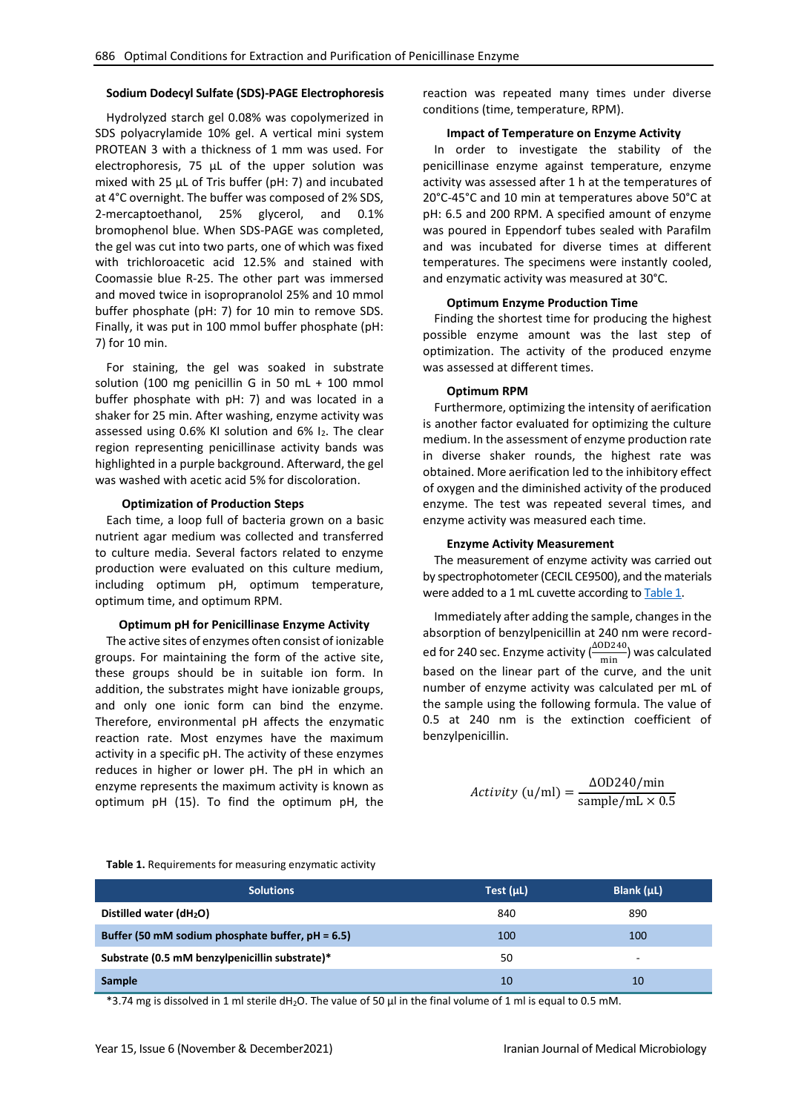### **Sodium Dodecyl Sulfate (SDS)-PAGE Electrophoresis**

Hydrolyzed starch gel 0.08% was copolymerized in SDS polyacrylamide 10% gel. A vertical mini system PROTEAN 3 with a thickness of 1 mm was used. For electrophoresis, 75 µL of the upper solution was mixed with 25 µL of Tris buffer (pH: 7) and incubated at 4°C overnight. The buffer was composed of 2% SDS, 2-mercaptoethanol, 25% glycerol, and 0.1% bromophenol blue. When SDS-PAGE was completed, the gel was cut into two parts, one of which was fixed with trichloroacetic acid 12.5% and stained with Coomassie blue R-25. The other part was immersed and moved twice in isopropranolol 25% and 10 mmol buffer phosphate (pH: 7) for 10 min to remove SDS. Finally, it was put in 100 mmol buffer phosphate (pH: 7) for 10 min.

For staining, the gel was soaked in substrate solution (100 mg penicillin G in 50 mL + 100 mmol buffer phosphate with pH: 7) and was located in a shaker for 25 min. After washing, enzyme activity was assessed using 0.6% KI solution and 6% I<sub>2</sub>. The clear region representing penicillinase activity bands was highlighted in a purple background. Afterward, the gel was washed with acetic acid 5% for discoloration.

#### **Optimization of Production Steps**

Each time, a loop full of bacteria grown on a basic nutrient agar medium was collected and transferred to culture media. Several factors related to enzyme production were evaluated on this culture medium, including optimum pH, optimum temperature, optimum time, and optimum RPM.

#### **Optimum pH for Penicillinase Enzyme Activity**

The active sites of enzymes often consist of ionizable groups. For maintaining the form of the active site, these groups should be in suitable ion form. In addition, the substrates might have ionizable groups, and only one ionic form can bind the enzyme. Therefore, environmental pH affects the enzymatic reaction rate. Most enzymes have the maximum activity in a specific pH. The activity of these enzymes reduces in higher or lower pH. The pH in which an enzyme represents the maximum activity is known as optimum pH (15). To find the optimum pH, the

reaction was repeated many times under diverse conditions (time, temperature, RPM).

#### **Impact of Temperature on Enzyme Activity**

In order to investigate the stability of the penicillinase enzyme against temperature, enzyme activity was assessed after 1 h at the temperatures of 20°C-45°C and 10 min at temperatures above 50°C at pH: 6.5 and 200 RPM. A specified amount of enzyme was poured in Eppendorf tubes sealed with Parafilm and was incubated for diverse times at different temperatures. The specimens were instantly cooled, and enzymatic activity was measured at 30°C.

#### **Optimum Enzyme Production Time**

Finding the shortest time for producing the highest possible enzyme amount was the last step of optimization. The activity of the produced enzyme was assessed at different times.

#### **Optimum RPM**

Furthermore, optimizing the intensity of aerification is another factor evaluated for optimizing the culture medium. In the assessment of enzyme production rate in diverse shaker rounds, the highest rate was obtained. More aerification led to the inhibitory effect of oxygen and the diminished activity of the produced enzyme. The test was repeated several times, and enzyme activity was measured each time.

#### **Enzyme Activity Measurement**

The measurement of enzyme activity was carried out by spectrophotometer (CECIL CE9500), and the materials were added to a 1 mL cuvette according t[o Table 1.](#page-2-0)

Immediately after adding the sample, changes in the absorption of benzylpenicillin at 240 nm were recorded for 240 sec. Enzyme activity  $\binom{\Delta OD240}{\min}$  was calculated based on the linear part of the curve, and the unit number of enzyme activity was calculated per mL of the sample using the following formula. The value of 0.5 at 240 nm is the extinction coefficient of benzylpenicillin.

$$
Activity (u/ml) = \frac{\Delta OD240/min}{sample/mL \times 0.5}
$$

<span id="page-2-0"></span>

|  |  |  | Table 1. Requirements for measuring enzymatic activity |
|--|--|--|--------------------------------------------------------|
|--|--|--|--------------------------------------------------------|

| <b>Solutions</b>                                 | Test $(\mu L)$ | Blank $(\mu L)$ |
|--------------------------------------------------|----------------|-----------------|
| Distilled water $(dH2O)$                         | 840            | 890             |
| Buffer (50 mM sodium phosphate buffer, pH = 6.5) | 100            | 100             |
| Substrate (0.5 mM benzylpenicillin substrate)*   | 50             | -               |
| Sample                                           | 10             | 10              |

\*3.74 mg is dissolved in 1 ml sterile dH2O. The value of 50 μl in the final volume of 1 ml is equal to 0.5 mM.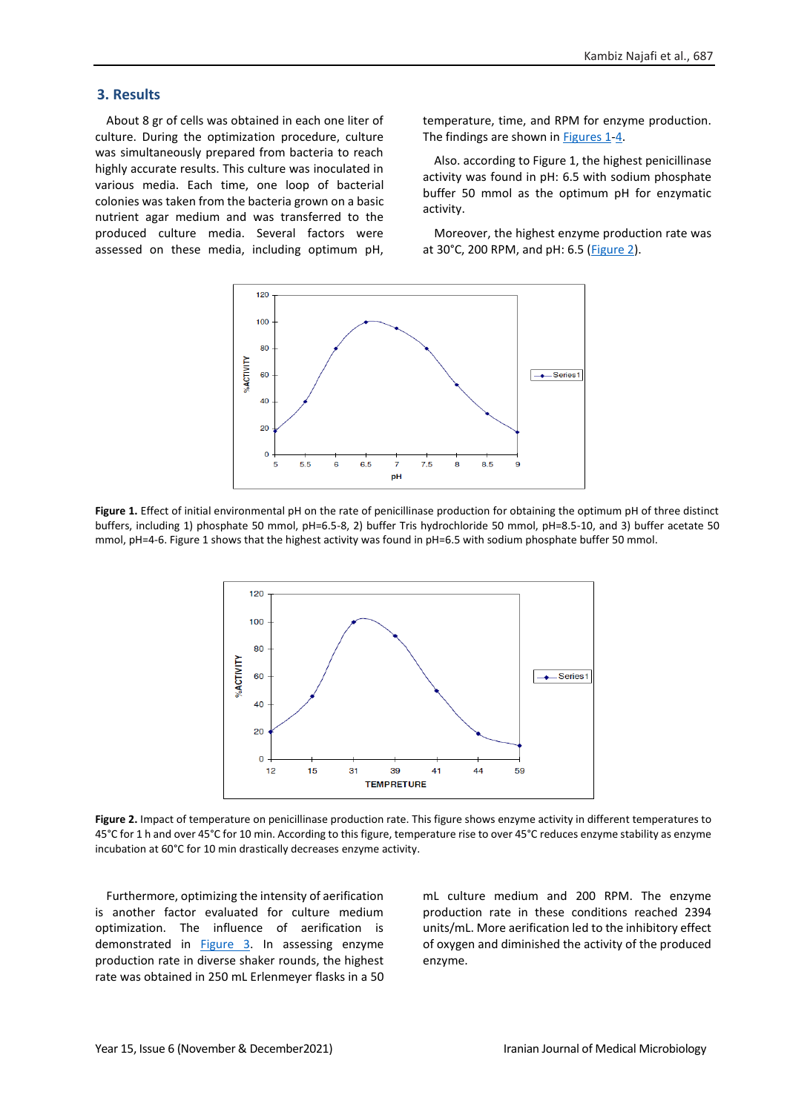### **3. Results**

About 8 gr of cells was obtained in each one liter of culture. During the optimization procedure, culture was simultaneously prepared from bacteria to reach highly accurate results. This culture was inoculated in various media. Each time, one loop of bacterial colonies was taken from the bacteria grown on a basic nutrient agar medium and was transferred to the produced culture media. Several factors were assessed on these media, including optimum pH,

temperature, time, and RPM for enzyme production. The findings are shown in [Figures 1](#page-3-0)[-4.](#page-4-0)

Also. according to Figure 1, the highest penicillinase activity was found in pH: 6.5 with sodium phosphate buffer 50 mmol as the optimum pH for enzymatic activity.

Moreover, the highest enzyme production rate was at 30°C, 200 RPM, and pH: 6.5 [\(Figure 2\)](#page-3-1).



<span id="page-3-0"></span>**Figure 1.** Effect of initial environmental pH on the rate of penicillinase production for obtaining the optimum pH of three distinct buffers, including 1) phosphate 50 mmol, pH=6.5-8, 2) buffer Tris hydrochloride 50 mmol, pH=8.5-10, and 3) buffer acetate 50 mmol, pH=4-6. Figure 1 shows that the highest activity was found in pH=6.5 with sodium phosphate buffer 50 mmol.



<span id="page-3-1"></span>**Figure 2.** Impact of temperature on penicillinase production rate. This figure shows enzyme activity in different temperatures to 45°C for 1 h and over 45°C for 10 min. According to this figure, temperature rise to over 45°C reduces enzyme stability as enzyme incubation at 60°C for 10 min drastically decreases enzyme activity.

Furthermore, optimizing the intensity of aerification is another factor evaluated for culture medium optimization. The influence of aerification is demonstrated in [Figure 3.](#page-4-1) In assessing enzyme production rate in diverse shaker rounds, the highest rate was obtained in 250 mL Erlenmeyer flasks in a 50

mL culture medium and 200 RPM. The enzyme production rate in these conditions reached 2394 units/mL. More aerification led to the inhibitory effect of oxygen and diminished the activity of the produced enzyme.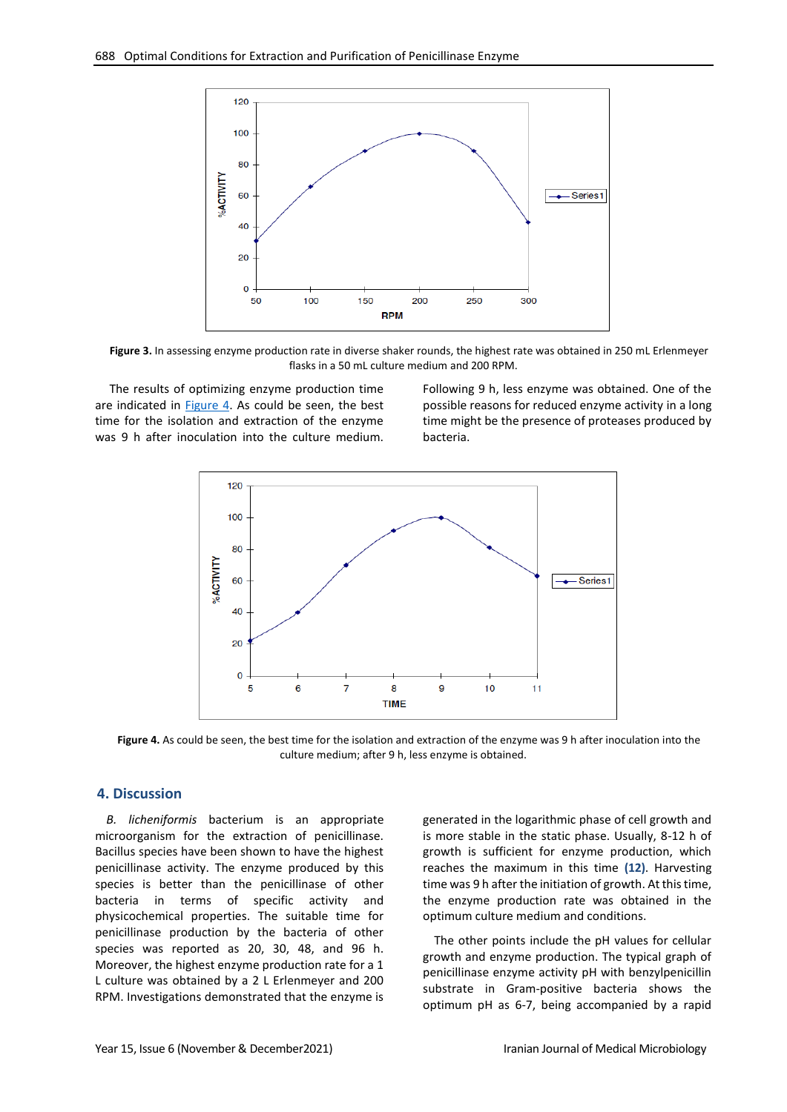

<span id="page-4-1"></span>**Figure 3.** In assessing enzyme production rate in diverse shaker rounds, the highest rate was obtained in 250 mL Erlenmeyer flasks in a 50 mL culture medium and 200 RPM.

The results of optimizing enzyme production time are indicated in [Figure 4.](#page-4-0) As could be seen, the best time for the isolation and extraction of the enzyme was 9 h after inoculation into the culture medium. Following 9 h, less enzyme was obtained. One of the possible reasons for reduced enzyme activity in a long time might be the presence of proteases produced by bacteria.



<span id="page-4-0"></span>**Figure 4.** As could be seen, the best time for the isolation and extraction of the enzyme was 9 h after inoculation into the culture medium; after 9 h, less enzyme is obtained.

# **4. Discussion**

*B. licheniformis* bacterium is an appropriate microorganism for the extraction of penicillinase. Bacillus species have been shown to have the highest penicillinase activity. The enzyme produced by this species is better than the penicillinase of other bacteria in terms of specific activity and physicochemical properties. The suitable time for penicillinase production by the bacteria of other species was reported as 20, 30, 48, and 96 h. Moreover, the highest enzyme production rate for a 1 L culture was obtained by a 2 L Erlenmeyer and 200 RPM. Investigations demonstrated that the enzyme is generated in the logarithmic phase of cell growth and is more stable in the static phase. Usually, 8-12 h of growth is sufficient for enzyme production, which reaches the maximum in this time **(12)**. Harvesting time was 9 h after the initiation of growth. At this time, the enzyme production rate was obtained in the optimum culture medium and conditions.

The other points include the pH values for cellular growth and enzyme production. The typical graph of penicillinase enzyme activity pH with benzylpenicillin substrate in Gram-positive bacteria shows the optimum pH as 6-7, being accompanied by a rapid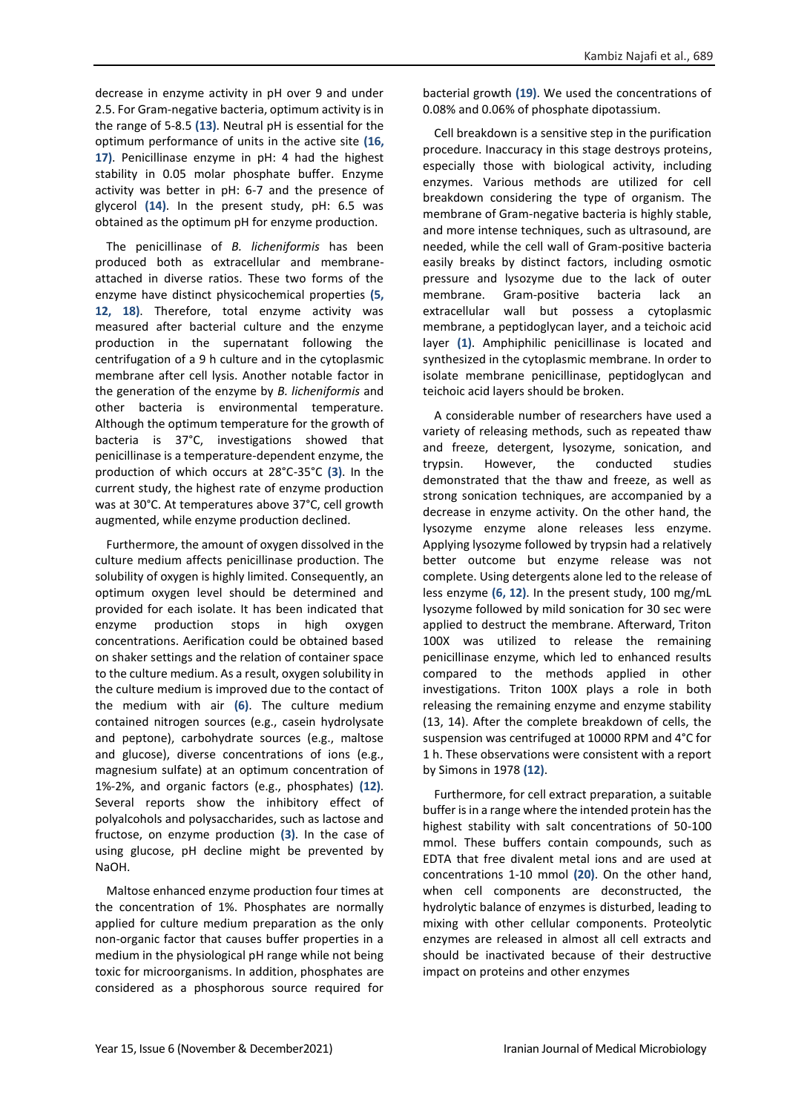decrease in enzyme activity in pH over 9 and under 2.5. For Gram-negative bacteria, optimum activity is in the range of 5-8.5 **(13)**. Neutral pH is essential for the optimum performance of units in the active site **(16, 17)**. Penicillinase enzyme in pH: 4 had the highest stability in 0.05 molar phosphate buffer. Enzyme activity was better in pH: 6-7 and the presence of glycerol **(14)**. In the present study, pH: 6.5 was obtained as the optimum pH for enzyme production.

The penicillinase of *B. licheniformis* has been produced both as extracellular and membraneattached in diverse ratios. These two forms of the enzyme have distinct physicochemical properties **(5, 12, 18)**. Therefore, total enzyme activity was measured after bacterial culture and the enzyme production in the supernatant following the centrifugation of a 9 h culture and in the cytoplasmic membrane after cell lysis. Another notable factor in the generation of the enzyme by *B. licheniformis* and other bacteria is environmental temperature. Although the optimum temperature for the growth of bacteria is 37°C, investigations showed that penicillinase is a temperature-dependent enzyme, the production of which occurs at 28°C-35°C **(3)**. In the current study, the highest rate of enzyme production was at 30°C. At temperatures above 37°C, cell growth augmented, while enzyme production declined.

Furthermore, the amount of oxygen dissolved in the culture medium affects penicillinase production. The solubility of oxygen is highly limited. Consequently, an optimum oxygen level should be determined and provided for each isolate. It has been indicated that enzyme production stops in high oxygen concentrations. Aerification could be obtained based on shaker settings and the relation of container space to the culture medium. As a result, oxygen solubility in the culture medium is improved due to the contact of the medium with air **(6)**. The culture medium contained nitrogen sources (e.g., casein hydrolysate and peptone), carbohydrate sources (e.g., maltose and glucose), diverse concentrations of ions (e.g., magnesium sulfate) at an optimum concentration of 1%-2%, and organic factors (e.g., phosphates) **(12)**. Several reports show the inhibitory effect of polyalcohols and polysaccharides, such as lactose and fructose, on enzyme production **(3)**. In the case of using glucose, pH decline might be prevented by NaOH.

Maltose enhanced enzyme production four times at the concentration of 1%. Phosphates are normally applied for culture medium preparation as the only non-organic factor that causes buffer properties in a medium in the physiological pH range while not being toxic for microorganisms. In addition, phosphates are considered as a phosphorous source required for bacterial growth **(19)**. We used the concentrations of 0.08% and 0.06% of phosphate dipotassium.

Cell breakdown is a sensitive step in the purification procedure. Inaccuracy in this stage destroys proteins, especially those with biological activity, including enzymes. Various methods are utilized for cell breakdown considering the type of organism. The membrane of Gram-negative bacteria is highly stable, and more intense techniques, such as ultrasound, are needed, while the cell wall of Gram-positive bacteria easily breaks by distinct factors, including osmotic pressure and lysozyme due to the lack of outer membrane. Gram-positive bacteria lack an extracellular wall but possess a cytoplasmic membrane, a peptidoglycan layer, and a teichoic acid layer **(1)**. Amphiphilic penicillinase is located and synthesized in the cytoplasmic membrane. In order to isolate membrane penicillinase, peptidoglycan and teichoic acid layers should be broken.

A considerable number of researchers have used a variety of releasing methods, such as repeated thaw and freeze, detergent, lysozyme, sonication, and trypsin. However, the conducted studies demonstrated that the thaw and freeze, as well as strong sonication techniques, are accompanied by a decrease in enzyme activity. On the other hand, the lysozyme enzyme alone releases less enzyme. Applying lysozyme followed by trypsin had a relatively better outcome but enzyme release was not complete. Using detergents alone led to the release of less enzyme **(6, 12)**. In the present study, 100 mg/mL lysozyme followed by mild sonication for 30 sec were applied to destruct the membrane. Afterward, Triton 100X was utilized to release the remaining penicillinase enzyme, which led to enhanced results compared to the methods applied in other investigations. Triton 100X plays a role in both releasing the remaining enzyme and enzyme stability (13, 14). After the complete breakdown of cells, the suspension was centrifuged at 10000 RPM and 4°C for 1 h. These observations were consistent with a report by Simons in 1978 **(12)**.

Furthermore, for cell extract preparation, a suitable buffer is in a range where the intended protein has the highest stability with salt concentrations of 50-100 mmol. These buffers contain compounds, such as EDTA that free divalent metal ions and are used at concentrations 1-10 mmol **(20)**. On the other hand, when cell components are deconstructed, the hydrolytic balance of enzymes is disturbed, leading to mixing with other cellular components. Proteolytic enzymes are released in almost all cell extracts and should be inactivated because of their destructive impact on proteins and other enzymes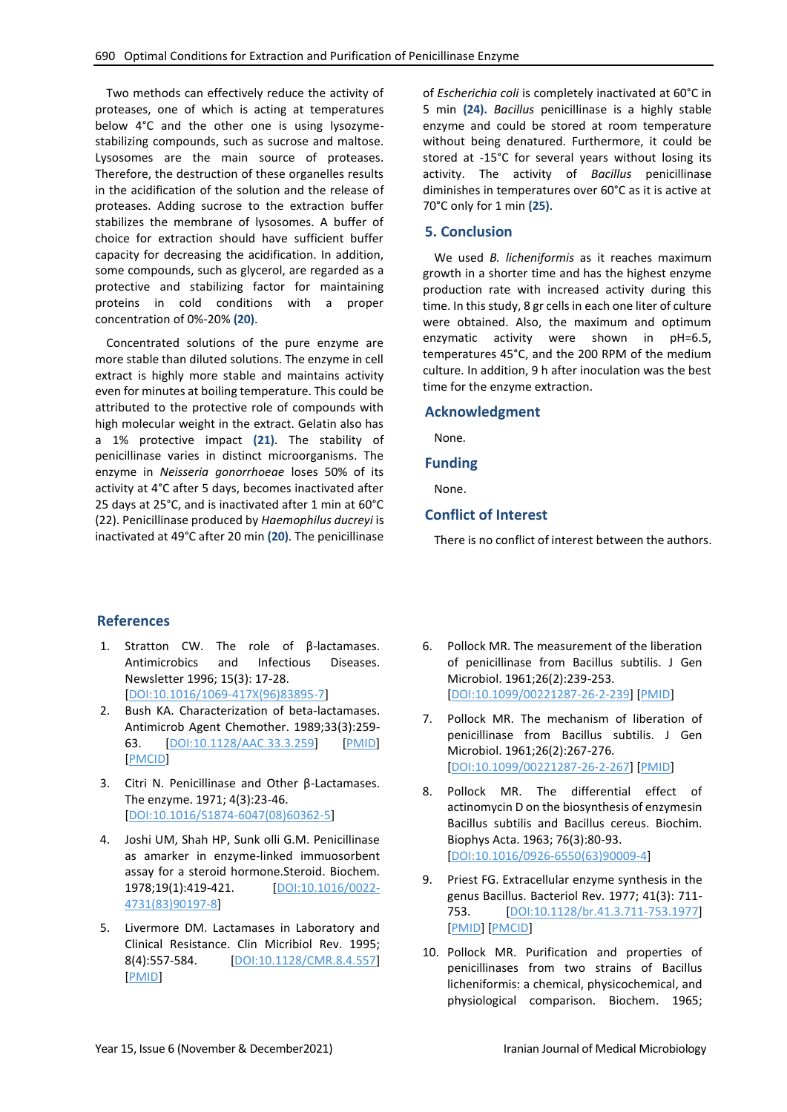Two methods can effectively reduce the activity of proteases, one of which is acting at temperatures below 4°C and the other one is using lysozymestabilizing compounds, such as sucrose and maltose. Lysosomes are the main source of proteases. Therefore, the destruction of these organelles results in the acidification of the solution and the release of proteases. Adding sucrose to the extraction buffer stabilizes the membrane of lysosomes. A buffer of choice for extraction should have sufficient buffer capacity for decreasing the acidification. In addition, some compounds, such as glycerol, are regarded as a protective and stabilizing factor for maintaining proteins in cold conditions with a proper concentration of 0%-20% **(20)**.

Concentrated solutions of the pure enzyme are more stable than diluted solutions. The enzyme in cell extract is highly more stable and maintains activity even for minutes at boiling temperature. This could be attributed to the protective role of compounds with high molecular weight in the extract. Gelatin also has a 1% protective impact **(21)**. The stability of penicillinase varies in distinct microorganisms. The enzyme in *Neisseria gonorrhoeae* loses 50% of its activity at 4°C after 5 days, becomes inactivated after 25 days at 25°C, and is inactivated after 1 min at 60°C (22). Penicillinase produced by *Haemophilus ducreyi* is inactivated at 49°C after 20 min **(20)**. The penicillinase

of *Escherichia coli* is completely inactivated at 60°C in 5 min **(24).** *Bacillus* penicillinase is a highly stable enzyme and could be stored at room temperature without being denatured. Furthermore, it could be stored at -15°C for several years without losing its activity. The activity of *Bacillus* penicillinase diminishes in temperatures over 60°C as it is active at 70°C only for 1 min **(25)**.

# **5. Conclusion**

We used *B. licheniformis* as it reaches maximum growth in a shorter time and has the highest enzyme production rate with increased activity during this time. In this study, 8 gr cells in each one liter of culture were obtained. Also, the maximum and optimum enzymatic activity were shown in pH=6.5, temperatures 45°C, and the 200 RPM of the medium culture. In addition, 9 h after inoculation was the best time for the enzyme extraction.

# **Acknowledgment**

None.

# **Funding**

None.

# **Conflict of Interest**

There is no conflict of interest between the authors.

# **References**

- 1. Stratton CW. The role of β-lactamases. Antimicrobics and Infectious Diseases. Newsletter 1996; 15(3): 17-28. [\[DOI:10.1016/1069-417X\(96\)83895-7\]](https://doi.org/10.1016/1069-417X(96)83895-7)
- 2. Bush KA. Characterization of beta-lactamases. Antimicrob Agent Chemother. 1989;33(3):259- 63. [\[DOI:10.1128/AAC.33.3.259\]](https://doi.org/10.1128/AAC.33.3.259) [\[PMID\]](https://www.ncbi.nlm.nih.gov/pubmed/2658779) [\[PMCID\]](http://www.ncbi.nlm.nih.gov/pmc/articles/PMC171476)
- 3. Citri N. Penicillinase and Other β-Lactamases. The enzyme. 1971; 4(3):23-46. [\[DOI:10.1016/S1874-6047\(08\)60362-5\]](https://doi.org/10.1016/S1874-6047(08)60362-5)
- 4. Joshi UM, Shah HP, Sunk olli G.M. Penicillinase as amarker in enzyme-linked immuosorbent assay for a steroid hormone.Steroid. Biochem. 1978;19(1):419-421. [\[DOI:10.1016/0022-](https://doi.org/10.1016/0022-4731(83)90197-8) [4731\(83\)90197-8\]](https://doi.org/10.1016/0022-4731(83)90197-8)
- 5. Livermore DM. Lactamases in Laboratory and Clinical Resistance. Clin Micribiol Rev. 1995; 8(4):557-584. [\[DOI:10.1128/CMR.8.4.557\]](https://doi.org/10.1128/CMR.8.4.557) [\[PMID\]](https://www.ncbi.nlm.nih.gov/pubmed/8665470)
- 6. Pollock MR. The measurement of the liberation of penicillinase from Bacillus subtilis. J Gen Microbiol. 1961;26(2):239-253. [\[DOI:10.1099/00221287-26-2-239\]](https://doi.org/10.1099/00221287-26-2-239) [\[PMID\]](https://www.ncbi.nlm.nih.gov/pubmed/14487665)
- 7. Pollock MR. The mechanism of liberation of penicillinase from Bacillus subtilis. J Gen Microbiol. 1961;26(2):267-276. [\[DOI:10.1099/00221287-26-2-267\]](https://doi.org/10.1099/00221287-26-2-267) [\[PMID\]](https://www.ncbi.nlm.nih.gov/pubmed/14487666)
- 8. Pollock MR. The differential effect of actinomycin D on the biosynthesis of enzymesin Bacillus subtilis and Bacillus cereus. Biochim. Biophys Acta. 1963; 76(3):80-93. [\[DOI:10.1016/0926-6550\(63\)90009-4\]](https://doi.org/10.1016/0926-6550(63)90009-4)
- 9. Priest FG. Extracellular enzyme synthesis in the genus Bacillus. Bacteriol Rev. 1977; 41(3): 711- 753. [\[DOI:10.1128/br.41.3.711-753.1977\]](https://doi.org/10.1128/br.41.3.711-753.1977) [\[PMID\]](https://www.ncbi.nlm.nih.gov/pubmed/334155) [\[PMCID\]](http://www.ncbi.nlm.nih.gov/pmc/articles/PMC414021)
- 10. Pollock MR. Purification and properties of penicillinases from two strains of Bacillus licheniformis: a chemical, physicochemical, and physiological comparison. Biochem. 1965;